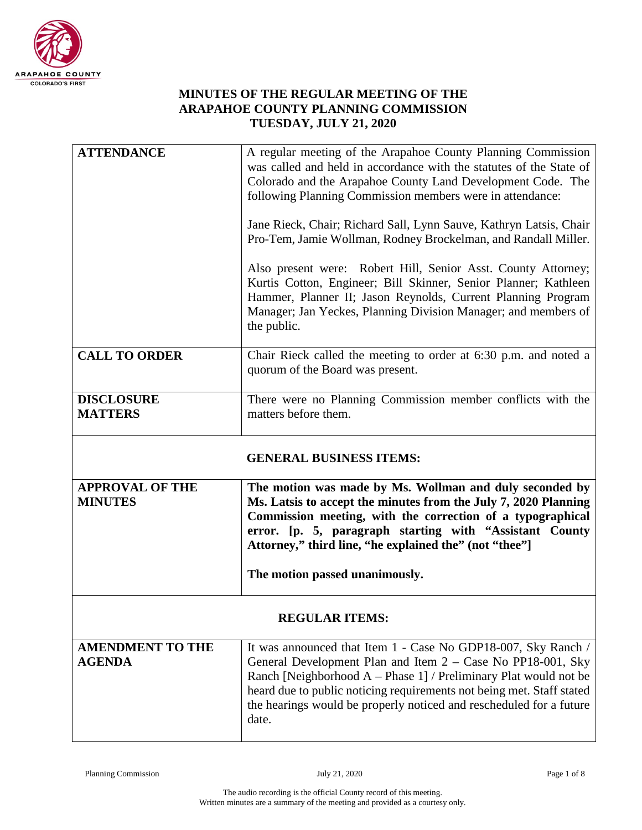

## **MINUTES OF THE REGULAR MEETING OF THE ARAPAHOE COUNTY PLANNING COMMISSION TUESDAY, JULY 21, 2020**

| <b>ATTENDANCE</b>                        | A regular meeting of the Arapahoe County Planning Commission<br>was called and held in accordance with the statutes of the State of<br>Colorado and the Arapahoe County Land Development Code. The<br>following Planning Commission members were in attendance:<br>Jane Rieck, Chair; Richard Sall, Lynn Sauve, Kathryn Latsis, Chair<br>Pro-Tem, Jamie Wollman, Rodney Brockelman, and Randall Miller.<br>Also present were: Robert Hill, Senior Asst. County Attorney;<br>Kurtis Cotton, Engineer; Bill Skinner, Senior Planner; Kathleen<br>Hammer, Planner II; Jason Reynolds, Current Planning Program<br>Manager; Jan Yeckes, Planning Division Manager; and members of<br>the public. |  |
|------------------------------------------|----------------------------------------------------------------------------------------------------------------------------------------------------------------------------------------------------------------------------------------------------------------------------------------------------------------------------------------------------------------------------------------------------------------------------------------------------------------------------------------------------------------------------------------------------------------------------------------------------------------------------------------------------------------------------------------------|--|
| <b>CALL TO ORDER</b>                     | Chair Rieck called the meeting to order at 6:30 p.m. and noted a<br>quorum of the Board was present.                                                                                                                                                                                                                                                                                                                                                                                                                                                                                                                                                                                         |  |
| <b>DISCLOSURE</b><br><b>MATTERS</b>      | There were no Planning Commission member conflicts with the<br>matters before them.                                                                                                                                                                                                                                                                                                                                                                                                                                                                                                                                                                                                          |  |
| <b>GENERAL BUSINESS ITEMS:</b>           |                                                                                                                                                                                                                                                                                                                                                                                                                                                                                                                                                                                                                                                                                              |  |
| <b>APPROVAL OF THE</b><br><b>MINUTES</b> | The motion was made by Ms. Wollman and duly seconded by<br>Ms. Latsis to accept the minutes from the July 7, 2020 Planning<br>Commission meeting, with the correction of a typographical<br>error. [p. 5, paragraph starting with "Assistant County<br>Attorney," third line, "he explained the" (not "thee"]<br>The motion passed unanimously.                                                                                                                                                                                                                                                                                                                                              |  |
|                                          |                                                                                                                                                                                                                                                                                                                                                                                                                                                                                                                                                                                                                                                                                              |  |
| <b>REGULAR ITEMS:</b>                    |                                                                                                                                                                                                                                                                                                                                                                                                                                                                                                                                                                                                                                                                                              |  |
| <b>AMENDMENT TO THE</b><br><b>AGENDA</b> | It was announced that Item 1 - Case No GDP18-007, Sky Ranch /<br>General Development Plan and Item $2 - Case No PP18-001$ , Sky<br>Ranch [Neighborhood A - Phase 1] / Preliminary Plat would not be<br>heard due to public noticing requirements not being met. Staff stated<br>the hearings would be properly noticed and rescheduled for a future                                                                                                                                                                                                                                                                                                                                          |  |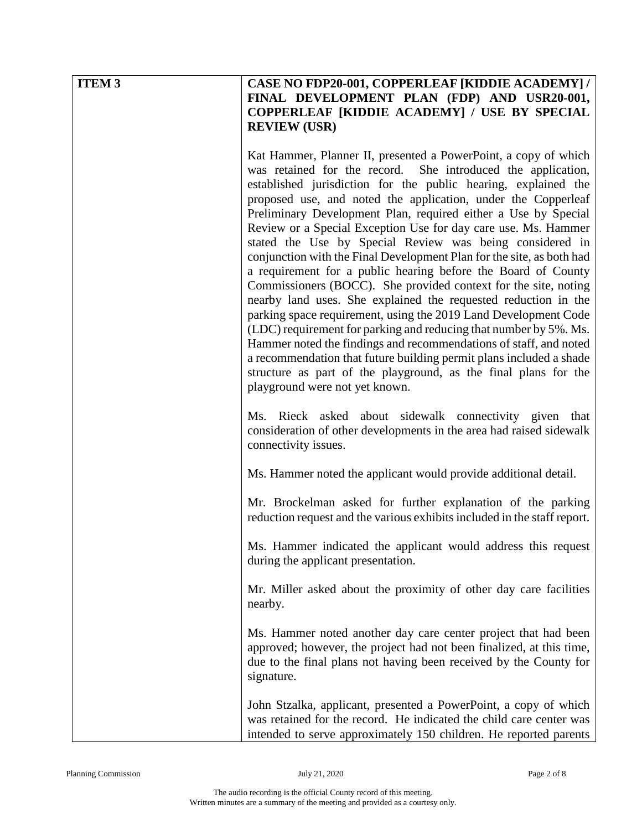| <b>ITEM 3</b> | <b>CASE NO FDP20-001, COPPERLEAF [KIDDIE ACADEMY] /</b><br>FINAL DEVELOPMENT PLAN (FDP) AND USR20-001,<br>COPPERLEAF [KIDDIE ACADEMY] / USE BY SPECIAL<br><b>REVIEW (USR)</b>                                                                                                                                                                                                                                                                                                                                                                                                                                                                                                                                                                                                                                                                                                                                                                                                                                                                                                                                                              |
|---------------|--------------------------------------------------------------------------------------------------------------------------------------------------------------------------------------------------------------------------------------------------------------------------------------------------------------------------------------------------------------------------------------------------------------------------------------------------------------------------------------------------------------------------------------------------------------------------------------------------------------------------------------------------------------------------------------------------------------------------------------------------------------------------------------------------------------------------------------------------------------------------------------------------------------------------------------------------------------------------------------------------------------------------------------------------------------------------------------------------------------------------------------------|
|               | Kat Hammer, Planner II, presented a PowerPoint, a copy of which<br>was retained for the record. She introduced the application,<br>established jurisdiction for the public hearing, explained the<br>proposed use, and noted the application, under the Copperleaf<br>Preliminary Development Plan, required either a Use by Special<br>Review or a Special Exception Use for day care use. Ms. Hammer<br>stated the Use by Special Review was being considered in<br>conjunction with the Final Development Plan for the site, as both had<br>a requirement for a public hearing before the Board of County<br>Commissioners (BOCC). She provided context for the site, noting<br>nearby land uses. She explained the requested reduction in the<br>parking space requirement, using the 2019 Land Development Code<br>(LDC) requirement for parking and reducing that number by 5%. Ms.<br>Hammer noted the findings and recommendations of staff, and noted<br>a recommendation that future building permit plans included a shade<br>structure as part of the playground, as the final plans for the<br>playground were not yet known. |
|               | Ms. Rieck asked about sidewalk connectivity given that<br>consideration of other developments in the area had raised sidewalk<br>connectivity issues.                                                                                                                                                                                                                                                                                                                                                                                                                                                                                                                                                                                                                                                                                                                                                                                                                                                                                                                                                                                      |
|               | Ms. Hammer noted the applicant would provide additional detail.                                                                                                                                                                                                                                                                                                                                                                                                                                                                                                                                                                                                                                                                                                                                                                                                                                                                                                                                                                                                                                                                            |
|               | Mr. Brockelman asked for further explanation of the parking<br>reduction request and the various exhibits included in the staff report.                                                                                                                                                                                                                                                                                                                                                                                                                                                                                                                                                                                                                                                                                                                                                                                                                                                                                                                                                                                                    |
|               | Ms. Hammer indicated the applicant would address this request<br>during the applicant presentation.                                                                                                                                                                                                                                                                                                                                                                                                                                                                                                                                                                                                                                                                                                                                                                                                                                                                                                                                                                                                                                        |
|               | Mr. Miller asked about the proximity of other day care facilities<br>nearby.                                                                                                                                                                                                                                                                                                                                                                                                                                                                                                                                                                                                                                                                                                                                                                                                                                                                                                                                                                                                                                                               |
|               | Ms. Hammer noted another day care center project that had been<br>approved; however, the project had not been finalized, at this time,<br>due to the final plans not having been received by the County for<br>signature.                                                                                                                                                                                                                                                                                                                                                                                                                                                                                                                                                                                                                                                                                                                                                                                                                                                                                                                  |
|               | John Stzalka, applicant, presented a PowerPoint, a copy of which<br>was retained for the record. He indicated the child care center was<br>intended to serve approximately 150 children. He reported parents                                                                                                                                                                                                                                                                                                                                                                                                                                                                                                                                                                                                                                                                                                                                                                                                                                                                                                                               |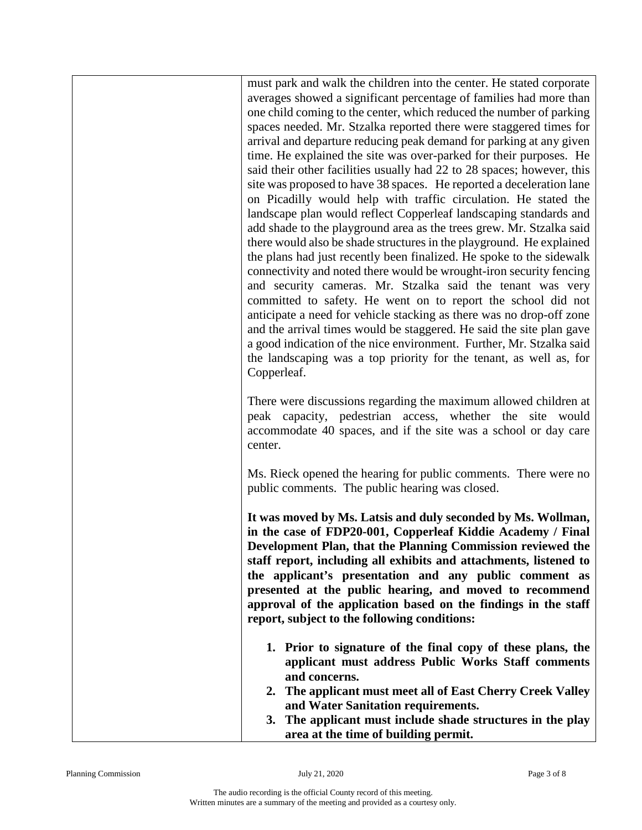must park and walk the children into the center. He stated corporate averages showed a significant percentage of families had more than one child coming to the center, which reduced the number of parking spaces needed. Mr. Stzalka reported there were staggered times for arrival and departure reducing peak demand for parking at any given time. He explained the site was over-parked for their purposes. He said their other facilities usually had 22 to 28 spaces; however, this site was proposed to have 38 spaces. He reported a deceleration lane on Picadilly would help with traffic circulation. He stated the landscape plan would reflect Copperleaf landscaping standards and add shade to the playground area as the trees grew. Mr. Stzalka said there would also be shade structures in the playground. He explained the plans had just recently been finalized. He spoke to the sidewalk connectivity and noted there would be wrought-iron security fencing and security cameras. Mr. Stzalka said the tenant was very committed to safety. He went on to report the school did not anticipate a need for vehicle stacking as there was no drop-off zone and the arrival times would be staggered. He said the site plan gave a good indication of the nice environment. Further, Mr. Stzalka said the landscaping was a top priority for the tenant, as well as, for Copperleaf.

There were discussions regarding the maximum allowed children at peak capacity, pedestrian access, whether the site would accommodate 40 spaces, and if the site was a school or day care center.

Ms. Rieck opened the hearing for public comments. There were no public comments. The public hearing was closed.

**It was moved by Ms. Latsis and duly seconded by Ms. Wollman, in the case of FDP20-001, Copperleaf Kiddie Academy / Final Development Plan, that the Planning Commission reviewed the staff report, including all exhibits and attachments, listened to the applicant's presentation and any public comment as presented at the public hearing, and moved to recommend approval of the application based on the findings in the staff report, subject to the following conditions:**

- **1. Prior to signature of the final copy of these plans, the applicant must address Public Works Staff comments and concerns.**
- **2. The applicant must meet all of East Cherry Creek Valley and Water Sanitation requirements.**
- **3. The applicant must include shade structures in the play area at the time of building permit.**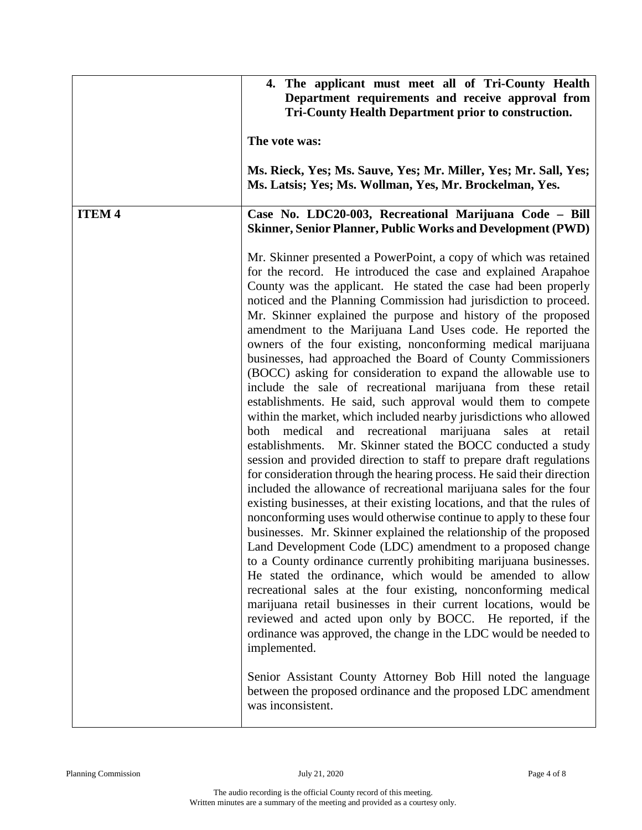|               | 4. The applicant must meet all of Tri-County Health<br>Department requirements and receive approval from<br><b>Tri-County Health Department prior to construction.</b>                                                                                                                                                                                                                                                                                                                                                                                                                                                                                                                                                                                                                                                                                                                                                                                                                                                                                                                                                                                                                                                                                                                                                                                                                                                                                                                                                                                                                                                                                                                                                                                                                                                                                                                 |
|---------------|----------------------------------------------------------------------------------------------------------------------------------------------------------------------------------------------------------------------------------------------------------------------------------------------------------------------------------------------------------------------------------------------------------------------------------------------------------------------------------------------------------------------------------------------------------------------------------------------------------------------------------------------------------------------------------------------------------------------------------------------------------------------------------------------------------------------------------------------------------------------------------------------------------------------------------------------------------------------------------------------------------------------------------------------------------------------------------------------------------------------------------------------------------------------------------------------------------------------------------------------------------------------------------------------------------------------------------------------------------------------------------------------------------------------------------------------------------------------------------------------------------------------------------------------------------------------------------------------------------------------------------------------------------------------------------------------------------------------------------------------------------------------------------------------------------------------------------------------------------------------------------------|
|               | The vote was:                                                                                                                                                                                                                                                                                                                                                                                                                                                                                                                                                                                                                                                                                                                                                                                                                                                                                                                                                                                                                                                                                                                                                                                                                                                                                                                                                                                                                                                                                                                                                                                                                                                                                                                                                                                                                                                                          |
|               | Ms. Rieck, Yes; Ms. Sauve, Yes; Mr. Miller, Yes; Mr. Sall, Yes;<br>Ms. Latsis; Yes; Ms. Wollman, Yes, Mr. Brockelman, Yes.                                                                                                                                                                                                                                                                                                                                                                                                                                                                                                                                                                                                                                                                                                                                                                                                                                                                                                                                                                                                                                                                                                                                                                                                                                                                                                                                                                                                                                                                                                                                                                                                                                                                                                                                                             |
| <b>ITEM 4</b> | Case No. LDC20-003, Recreational Marijuana Code - Bill<br><b>Skinner, Senior Planner, Public Works and Development (PWD)</b>                                                                                                                                                                                                                                                                                                                                                                                                                                                                                                                                                                                                                                                                                                                                                                                                                                                                                                                                                                                                                                                                                                                                                                                                                                                                                                                                                                                                                                                                                                                                                                                                                                                                                                                                                           |
|               | Mr. Skinner presented a PowerPoint, a copy of which was retained<br>for the record. He introduced the case and explained Arapahoe<br>County was the applicant. He stated the case had been properly<br>noticed and the Planning Commission had jurisdiction to proceed.<br>Mr. Skinner explained the purpose and history of the proposed<br>amendment to the Marijuana Land Uses code. He reported the<br>owners of the four existing, nonconforming medical marijuana<br>businesses, had approached the Board of County Commissioners<br>(BOCC) asking for consideration to expand the allowable use to<br>include the sale of recreational marijuana from these retail<br>establishments. He said, such approval would them to compete<br>within the market, which included nearby jurisdictions who allowed<br>both medical<br>and recreational marijuana sales at retail<br>Mr. Skinner stated the BOCC conducted a study<br>establishments.<br>session and provided direction to staff to prepare draft regulations<br>for consideration through the hearing process. He said their direction<br>included the allowance of recreational marijuana sales for the four<br>existing businesses, at their existing locations, and that the rules of<br>nonconforming uses would otherwise continue to apply to these four<br>businesses. Mr. Skinner explained the relationship of the proposed<br>Land Development Code (LDC) amendment to a proposed change<br>to a County ordinance currently prohibiting marijuana businesses.<br>He stated the ordinance, which would be amended to allow<br>recreational sales at the four existing, nonconforming medical<br>marijuana retail businesses in their current locations, would be<br>reviewed and acted upon only by BOCC. He reported, if the<br>ordinance was approved, the change in the LDC would be needed to<br>implemented. |
|               | Senior Assistant County Attorney Bob Hill noted the language<br>between the proposed ordinance and the proposed LDC amendment<br>was inconsistent.                                                                                                                                                                                                                                                                                                                                                                                                                                                                                                                                                                                                                                                                                                                                                                                                                                                                                                                                                                                                                                                                                                                                                                                                                                                                                                                                                                                                                                                                                                                                                                                                                                                                                                                                     |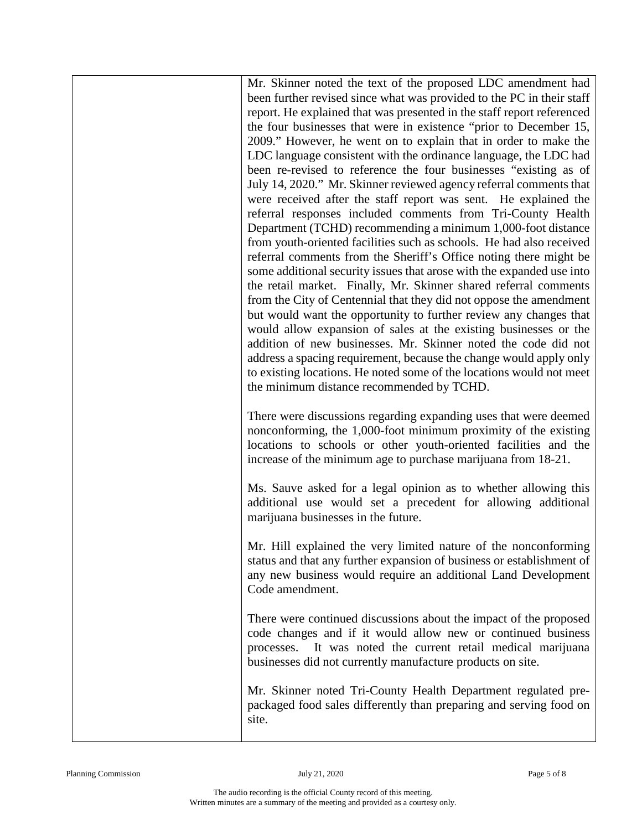Mr. Skinner noted the text of the proposed LDC amendment had been further revised since what was provided to the PC in their staff report. He explained that was presented in the staff report referenced the four businesses that were in existence "prior to December 15, 2009." However, he went on to explain that in order to make the LDC language consistent with the ordinance language, the LDC had been re-revised to reference the four businesses "existing as of July 14, 2020." Mr. Skinner reviewed agency referral comments that were received after the staff report was sent. He explained the referral responses included comments from Tri-County Health Department (TCHD) recommending a minimum 1,000-foot distance from youth-oriented facilities such as schools. He had also received referral comments from the Sheriff's Office noting there might be some additional security issues that arose with the expanded use into the retail market. Finally, Mr. Skinner shared referral comments from the City of Centennial that they did not oppose the amendment but would want the opportunity to further review any changes that would allow expansion of sales at the existing businesses or the addition of new businesses. Mr. Skinner noted the code did not address a spacing requirement, because the change would apply only to existing locations. He noted some of the locations would not meet the minimum distance recommended by TCHD.

There were discussions regarding expanding uses that were deemed nonconforming, the 1,000-foot minimum proximity of the existing locations to schools or other youth-oriented facilities and the increase of the minimum age to purchase marijuana from 18-21.

Ms. Sauve asked for a legal opinion as to whether allowing this additional use would set a precedent for allowing additional marijuana businesses in the future.

Mr. Hill explained the very limited nature of the nonconforming status and that any further expansion of business or establishment of any new business would require an additional Land Development Code amendment.

There were continued discussions about the impact of the proposed code changes and if it would allow new or continued business processes. It was noted the current retail medical marijuana businesses did not currently manufacture products on site.

Mr. Skinner noted Tri-County Health Department regulated prepackaged food sales differently than preparing and serving food on site.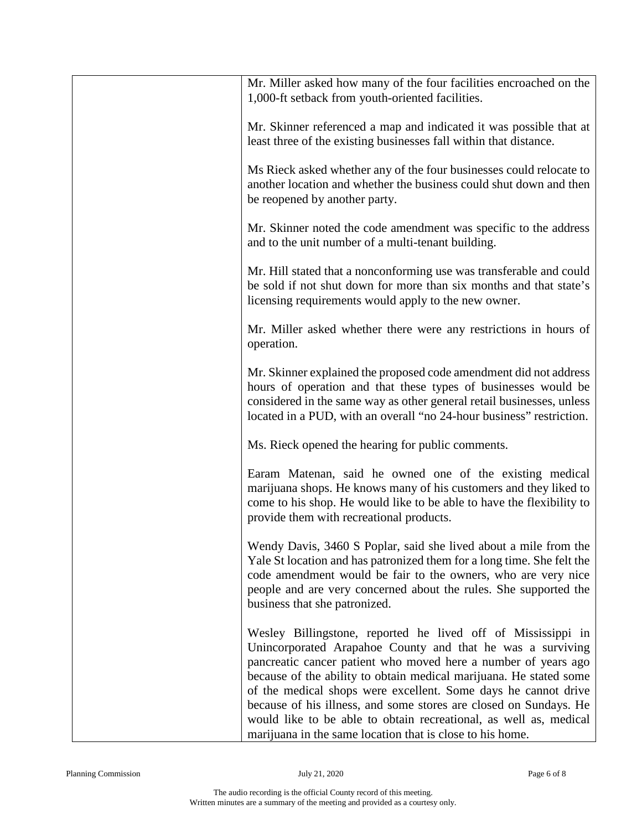| Mr. Miller asked how many of the four facilities encroached on the<br>1,000-ft setback from youth-oriented facilities.                                                                                                                                                                                                                                                                                                                                                                                                                      |
|---------------------------------------------------------------------------------------------------------------------------------------------------------------------------------------------------------------------------------------------------------------------------------------------------------------------------------------------------------------------------------------------------------------------------------------------------------------------------------------------------------------------------------------------|
| Mr. Skinner referenced a map and indicated it was possible that at<br>least three of the existing businesses fall within that distance.                                                                                                                                                                                                                                                                                                                                                                                                     |
| Ms Rieck asked whether any of the four businesses could relocate to<br>another location and whether the business could shut down and then<br>be reopened by another party.                                                                                                                                                                                                                                                                                                                                                                  |
| Mr. Skinner noted the code amendment was specific to the address<br>and to the unit number of a multi-tenant building.                                                                                                                                                                                                                                                                                                                                                                                                                      |
| Mr. Hill stated that a nonconforming use was transferable and could<br>be sold if not shut down for more than six months and that state's<br>licensing requirements would apply to the new owner.                                                                                                                                                                                                                                                                                                                                           |
| Mr. Miller asked whether there were any restrictions in hours of<br>operation.                                                                                                                                                                                                                                                                                                                                                                                                                                                              |
| Mr. Skinner explained the proposed code amendment did not address<br>hours of operation and that these types of businesses would be<br>considered in the same way as other general retail businesses, unless<br>located in a PUD, with an overall "no 24-hour business" restriction.                                                                                                                                                                                                                                                        |
| Ms. Rieck opened the hearing for public comments.                                                                                                                                                                                                                                                                                                                                                                                                                                                                                           |
| Earam Matenan, said he owned one of the existing medical<br>marijuana shops. He knows many of his customers and they liked to<br>come to his shop. He would like to be able to have the flexibility to<br>provide them with recreational products.                                                                                                                                                                                                                                                                                          |
| Wendy Davis, 3460 S Poplar, said she lived about a mile from the<br>Yale St location and has patronized them for a long time. She felt the<br>code amendment would be fair to the owners, who are very nice<br>people and are very concerned about the rules. She supported the<br>business that she patronized.                                                                                                                                                                                                                            |
| Wesley Billingstone, reported he lived off of Mississippi in<br>Unincorporated Arapahoe County and that he was a surviving<br>pancreatic cancer patient who moved here a number of years ago<br>because of the ability to obtain medical marijuana. He stated some<br>of the medical shops were excellent. Some days he cannot drive<br>because of his illness, and some stores are closed on Sundays. He<br>would like to be able to obtain recreational, as well as, medical<br>marijuana in the same location that is close to his home. |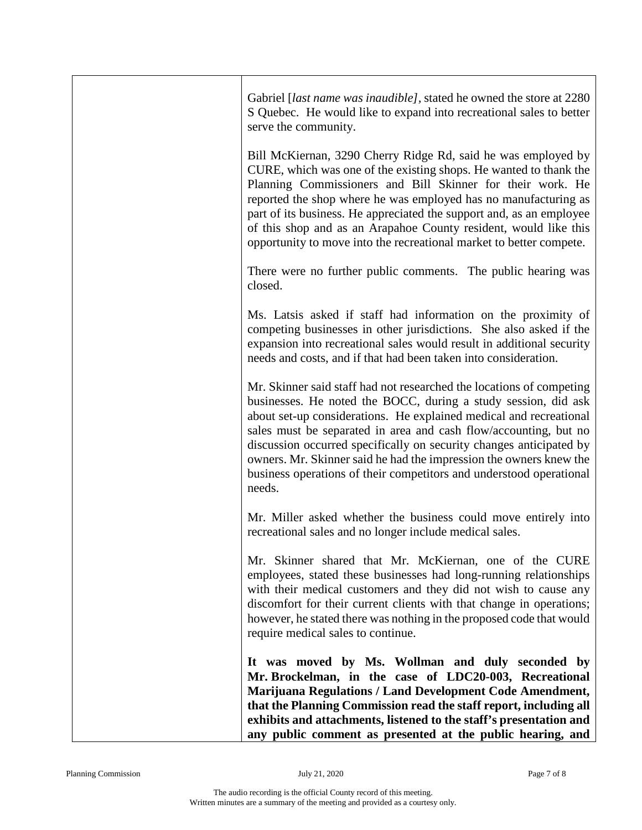| Gabriel <i>[last name was inaudible]</i> , stated he owned the store at 2280<br>S Quebec. He would like to expand into recreational sales to better<br>serve the community.                                                                                                                                                                                                                                                                                                                                    |
|----------------------------------------------------------------------------------------------------------------------------------------------------------------------------------------------------------------------------------------------------------------------------------------------------------------------------------------------------------------------------------------------------------------------------------------------------------------------------------------------------------------|
| Bill McKiernan, 3290 Cherry Ridge Rd, said he was employed by<br>CURE, which was one of the existing shops. He wanted to thank the<br>Planning Commissioners and Bill Skinner for their work. He<br>reported the shop where he was employed has no manufacturing as<br>part of its business. He appreciated the support and, as an employee<br>of this shop and as an Arapahoe County resident, would like this<br>opportunity to move into the recreational market to better compete.                         |
| There were no further public comments. The public hearing was<br>closed.                                                                                                                                                                                                                                                                                                                                                                                                                                       |
| Ms. Latsis asked if staff had information on the proximity of<br>competing businesses in other jurisdictions. She also asked if the<br>expansion into recreational sales would result in additional security<br>needs and costs, and if that had been taken into consideration.                                                                                                                                                                                                                                |
| Mr. Skinner said staff had not researched the locations of competing<br>businesses. He noted the BOCC, during a study session, did ask<br>about set-up considerations. He explained medical and recreational<br>sales must be separated in area and cash flow/accounting, but no<br>discussion occurred specifically on security changes anticipated by<br>owners. Mr. Skinner said he had the impression the owners knew the<br>business operations of their competitors and understood operational<br>needs. |
| Mr. Miller asked whether the business could move entirely into<br>recreational sales and no longer include medical sales.                                                                                                                                                                                                                                                                                                                                                                                      |
| Mr. Skinner shared that Mr. McKiernan, one of the CURE<br>employees, stated these businesses had long-running relationships<br>with their medical customers and they did not wish to cause any<br>discomfort for their current clients with that change in operations;<br>however, he stated there was nothing in the proposed code that would<br>require medical sales to continue.                                                                                                                           |
| It was moved by Ms. Wollman and duly seconded by<br>Mr. Brockelman, in the case of LDC20-003, Recreational<br>Marijuana Regulations / Land Development Code Amendment,<br>that the Planning Commission read the staff report, including all<br>exhibits and attachments, listened to the staff's presentation and<br>any public comment as presented at the public hearing, and                                                                                                                                |